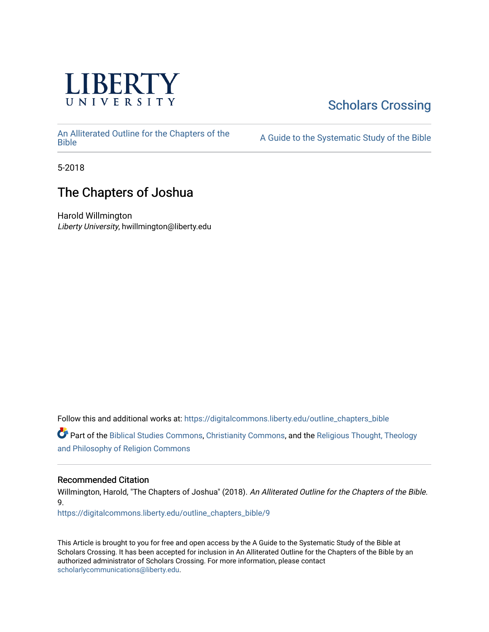

# [Scholars Crossing](https://digitalcommons.liberty.edu/)

[An Alliterated Outline for the Chapters of the](https://digitalcommons.liberty.edu/outline_chapters_bible) 

A Guide to the Systematic Study of the [Bible](https://digitalcommons.liberty.edu/outline_chapters_bible)

5-2018

# The Chapters of Joshua

Harold Willmington Liberty University, hwillmington@liberty.edu

Follow this and additional works at: [https://digitalcommons.liberty.edu/outline\\_chapters\\_bible](https://digitalcommons.liberty.edu/outline_chapters_bible?utm_source=digitalcommons.liberty.edu%2Foutline_chapters_bible%2F9&utm_medium=PDF&utm_campaign=PDFCoverPages)

Part of the [Biblical Studies Commons,](http://network.bepress.com/hgg/discipline/539?utm_source=digitalcommons.liberty.edu%2Foutline_chapters_bible%2F9&utm_medium=PDF&utm_campaign=PDFCoverPages) [Christianity Commons,](http://network.bepress.com/hgg/discipline/1181?utm_source=digitalcommons.liberty.edu%2Foutline_chapters_bible%2F9&utm_medium=PDF&utm_campaign=PDFCoverPages) and the [Religious Thought, Theology](http://network.bepress.com/hgg/discipline/544?utm_source=digitalcommons.liberty.edu%2Foutline_chapters_bible%2F9&utm_medium=PDF&utm_campaign=PDFCoverPages)  [and Philosophy of Religion Commons](http://network.bepress.com/hgg/discipline/544?utm_source=digitalcommons.liberty.edu%2Foutline_chapters_bible%2F9&utm_medium=PDF&utm_campaign=PDFCoverPages)

# Recommended Citation

Willmington, Harold, "The Chapters of Joshua" (2018). An Alliterated Outline for the Chapters of the Bible. 9.

[https://digitalcommons.liberty.edu/outline\\_chapters\\_bible/9](https://digitalcommons.liberty.edu/outline_chapters_bible/9?utm_source=digitalcommons.liberty.edu%2Foutline_chapters_bible%2F9&utm_medium=PDF&utm_campaign=PDFCoverPages)

This Article is brought to you for free and open access by the A Guide to the Systematic Study of the Bible at Scholars Crossing. It has been accepted for inclusion in An Alliterated Outline for the Chapters of the Bible by an authorized administrator of Scholars Crossing. For more information, please contact [scholarlycommunications@liberty.edu.](mailto:scholarlycommunications@liberty.edu)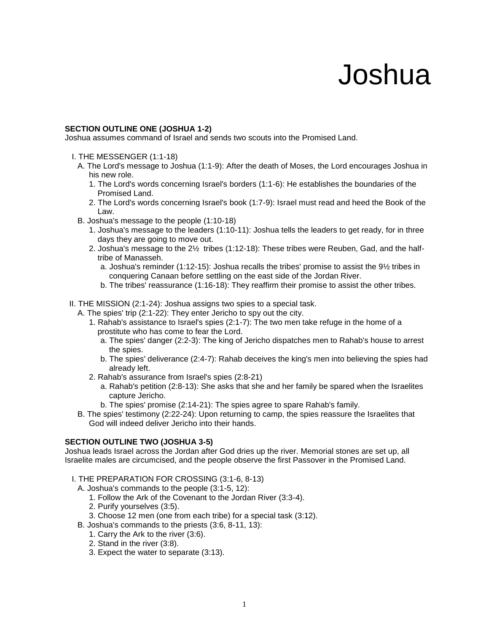# Joshua

#### **SECTION OUTLINE ONE (JOSHUA 1-2)**

Joshua assumes command of Israel and sends two scouts into the Promised Land.

- I. THE MESSENGER (1:1-18)
	- A. The Lord's message to Joshua (1:1-9): After the death of Moses, the Lord encourages Joshua in his new role.
		- 1. The Lord's words concerning Israel's borders (1:1-6): He establishes the boundaries of the Promised Land.
		- 2. The Lord's words concerning Israel's book (1:7-9): Israel must read and heed the Book of the Law.
	- B. Joshua's message to the people (1:10-18)
		- 1. Joshua's message to the leaders (1:10-11): Joshua tells the leaders to get ready, for in three days they are going to move out.
		- 2. Joshua's message to the 2½ tribes (1:12-18): These tribes were Reuben, Gad, and the halftribe of Manasseh.
			- a. Joshua's reminder (1:12-15): Joshua recalls the tribes' promise to assist the 9½ tribes in conquering Canaan before settling on the east side of the Jordan River.
			- b. The tribes' reassurance (1:16-18): They reaffirm their promise to assist the other tribes.
- II. THE MISSION (2:1-24): Joshua assigns two spies to a special task.
	- A. The spies' trip (2:1-22): They enter Jericho to spy out the city.
		- 1. Rahab's assistance to Israel's spies (2:1-7): The two men take refuge in the home of a prostitute who has come to fear the Lord.
			- a. The spies' danger (2:2-3): The king of Jericho dispatches men to Rahab's house to arrest the spies.
			- b. The spies' deliverance (2:4-7): Rahab deceives the king's men into believing the spies had already left.
		- 2. Rahab's assurance from Israel's spies (2:8-21)
			- a. Rahab's petition (2:8-13): She asks that she and her family be spared when the Israelites capture Jericho.
			- b. The spies' promise (2:14-21): The spies agree to spare Rahab's family.
	- B. The spies' testimony (2:22-24): Upon returning to camp, the spies reassure the Israelites that God will indeed deliver Jericho into their hands.

#### **SECTION OUTLINE TWO (JOSHUA 3-5)**

Joshua leads Israel across the Jordan after God dries up the river. Memorial stones are set up, all Israelite males are circumcised, and the people observe the first Passover in the Promised Land.

I. THE PREPARATION FOR CROSSING (3:1-6, 8-13)

A. Joshua's commands to the people (3:1-5, 12):

- 1. Follow the Ark of the Covenant to the Jordan River (3:3-4).
- 2. Purify yourselves (3:5).
- 3. Choose 12 men (one from each tribe) for a special task (3:12).
- B. Joshua's commands to the priests (3:6, 8-11, 13):
	- 1. Carry the Ark to the river (3:6).
	- 2. Stand in the river (3:8).
	- 3. Expect the water to separate (3:13).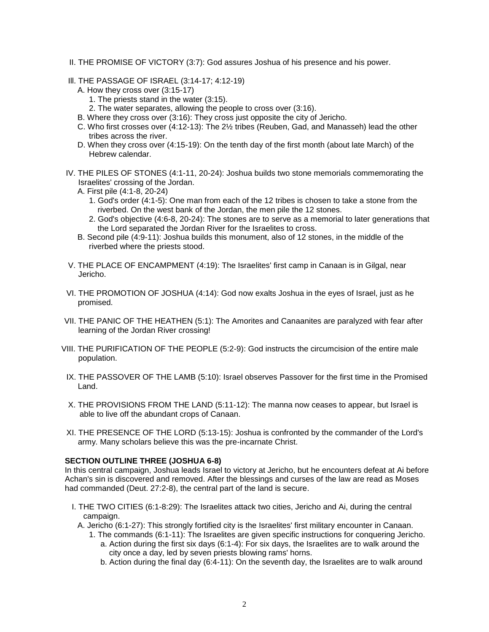- II. THE PROMISE OF VICTORY (3:7): God assures Joshua of his presence and his power.
- Ill. THE PASSAGE OF ISRAEL (3:14-17; 4:12-19)
	- A. How they cross over (3:15-17)
		- 1. The priests stand in the water (3:15).
		- 2. The water separates, allowing the people to cross over (3:16).
	- B. Where they cross over (3:16): They cross just opposite the city of Jericho.
	- C. Who first crosses over (4:12-13): The 2½ tribes (Reuben, Gad, and Manasseh) lead the other tribes across the river.
	- D. When they cross over (4:15-19): On the tenth day of the first month (about late March) of the Hebrew calendar.
- IV. THE PILES OF STONES (4:1-11, 20-24): Joshua builds two stone memorials commemorating the Israelites' crossing of the Jordan.
	- A. First pile (4:1-8, 20-24)
		- 1. God's order (4:1-5): One man from each of the 12 tribes is chosen to take a stone from the riverbed. On the west bank of the Jordan, the men pile the 12 stones.
		- 2. God's objective (4:6-8, 20-24): The stones are to serve as a memorial to later generations that the Lord separated the Jordan River for the Israelites to cross.
	- B. Second pile (4:9-11): Joshua builds this monument, also of 12 stones, in the middle of the riverbed where the priests stood.
- V. THE PLACE OF ENCAMPMENT (4:19): The Israelites' first camp in Canaan is in Gilgal, near Jericho.
- VI. THE PROMOTION OF JOSHUA (4:14): God now exalts Joshua in the eyes of Israel, just as he promised.
- VII. THE PANIC OF THE HEATHEN (5:1): The Amorites and Canaanites are paralyzed with fear after learning of the Jordan River crossing!
- VIII. THE PURIFICATION OF THE PEOPLE (5:2-9): God instructs the circumcision of the entire male population.
- IX. THE PASSOVER OF THE LAMB (5:10): Israel observes Passover for the first time in the Promised Land.
- X. THE PROVISIONS FROM THE LAND (5:11-12): The manna now ceases to appear, but Israel is able to live off the abundant crops of Canaan.
- XI. THE PRESENCE OF THE LORD (5:13-15): Joshua is confronted by the commander of the Lord's army. Many scholars believe this was the pre-incarnate Christ.

#### **SECTION OUTLINE THREE (JOSHUA 6-8)**

In this central campaign, Joshua leads Israel to victory at Jericho, but he encounters defeat at Ai before Achan's sin is discovered and removed. After the blessings and curses of the law are read as Moses had commanded (Deut. 27:2-8), the central part of the land is secure.

- I. THE TWO CITIES (6:1-8:29): The Israelites attack two cities, Jericho and Ai, during the central campaign.
	- A. Jericho (6:1-27): This strongly fortified city is the Israelites' first military encounter in Canaan.
		- 1. The commands (6:1-11): The Israelites are given specific instructions for conquering Jericho. a. Action during the first six days (6:1-4): For six days, the Israelites are to walk around the city once a day, led by seven priests blowing rams' horns.
			- b. Action during the final day (6:4-11): On the seventh day, the Israelites are to walk around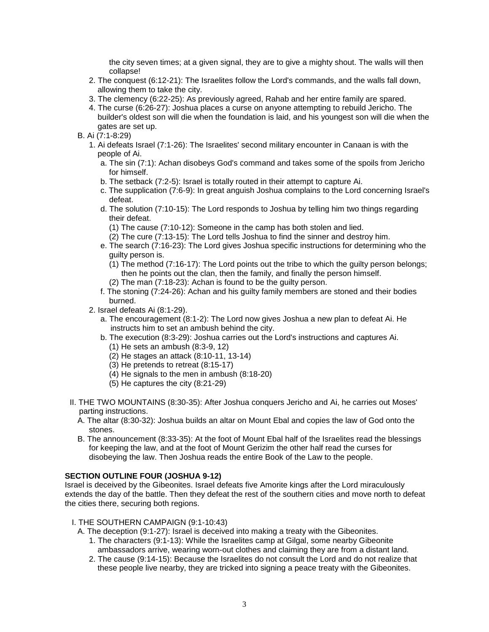the city seven times; at a given signal, they are to give a mighty shout. The walls will then collapse!

- 2. The conquest (6:12-21): The Israelites follow the Lord's commands, and the walls fall down, allowing them to take the city.
- 3. The clemency (6:22-25): As previously agreed, Rahab and her entire family are spared.
- 4. The curse (6:26-27): Joshua places a curse on anyone attempting to rebuild Jericho. The builder's oldest son will die when the foundation is laid, and his youngest son will die when the gates are set up.
- B. Ai (7:1-8:29)
	- 1. Ai defeats Israel (7:1-26): The Israelites' second military encounter in Canaan is with the people of Ai.
		- a. The sin (7:1): Achan disobeys God's command and takes some of the spoils from Jericho for himself.
		- b. The setback (7:2-5): Israel is totally routed in their attempt to capture Ai.
		- c. The supplication (7:6-9): In great anguish Joshua complains to the Lord concerning Israel's defeat.
		- d. The solution (7:10-15): The Lord responds to Joshua by telling him two things regarding their defeat.
			- (1) The cause (7:10-12): Someone in the camp has both stolen and lied.
			- (2) The cure (7:13-15): The Lord tells Joshua to find the sinner and destroy him.
		- e. The search (7:16-23): The Lord gives Joshua specific instructions for determining who the guilty person is.
			- (1) The method (7:16-17): The Lord points out the tribe to which the guilty person belongs; then he points out the clan, then the family, and finally the person himself.
			- (2) The man (7:18-23): Achan is found to be the guilty person.
		- f. The stoning (7:24-26): Achan and his guilty family members are stoned and their bodies burned.
	- 2. Israel defeats Ai (8:1-29).
		- a. The encouragement (8:1-2): The Lord now gives Joshua a new plan to defeat Ai. He instructs him to set an ambush behind the city.
		- b. The execution (8:3-29): Joshua carries out the Lord's instructions and captures Ai.
			- (1) He sets an ambush (8:3-9, 12)
			- (2) He stages an attack (8:10-11, 13-14)
			- (3) He pretends to retreat (8:15-17)
			- (4) He signals to the men in ambush (8:18-20)
			- (5) He captures the city (8:21-29)
- II. THE TWO MOUNTAINS (8:30-35): After Joshua conquers Jericho and Ai, he carries out Moses' parting instructions.
	- A. The altar (8:30-32): Joshua builds an altar on Mount Ebal and copies the law of God onto the stones.
	- B. The announcement (8:33-35): At the foot of Mount Ebal half of the Israelites read the blessings for keeping the law, and at the foot of Mount Gerizim the other half read the curses for disobeying the law. Then Joshua reads the entire Book of the Law to the people.

## **SECTION OUTLINE FOUR (JOSHUA 9-12)**

Israel is deceived by the Gibeonites. Israel defeats five Amorite kings after the Lord miraculously extends the day of the battle. Then they defeat the rest of the southern cities and move north to defeat the cities there, securing both regions.

- I. THE SOUTHERN CAMPAIGN (9:1-10:43)
	- A. The deception (9:1-27): Israel is deceived into making a treaty with the Gibeonites.
		- 1. The characters (9:1-13): While the Israelites camp at Gilgal, some nearby Gibeonite ambassadors arrive, wearing worn-out clothes and claiming they are from a distant land.
		- 2. The cause (9:14-15): Because the Israelites do not consult the Lord and do not realize that these people live nearby, they are tricked into signing a peace treaty with the Gibeonites.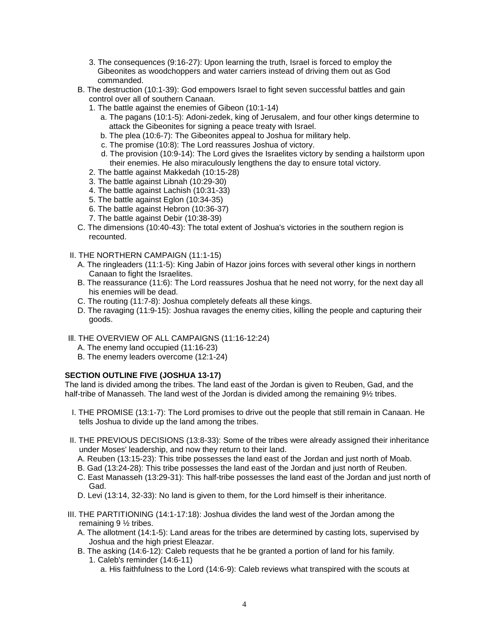- 3. The consequences (9:16-27): Upon learning the truth, Israel is forced to employ the Gibeonites as woodchoppers and water carriers instead of driving them out as God commanded.
- B. The destruction (10:1-39): God empowers Israel to fight seven successful battles and gain control over all of southern Canaan.
	- 1. The battle against the enemies of Gibeon (10:1-14)
		- a. The pagans (10:1-5): Adoni-zedek, king of Jerusalem, and four other kings determine to attack the Gibeonites for signing a peace treaty with Israel.
		- b. The plea (10:6-7): The Gibeonites appeal to Joshua for military help.
		- c. The promise (10:8): The Lord reassures Joshua of victory.
		- d. The provision (10:9-14): The Lord gives the Israelites victory by sending a hailstorm upon their enemies. He also miraculously lengthens the day to ensure total victory.
	- 2. The battle against Makkedah (10:15-28)
	- 3. The battle against Libnah (10:29-30)
	- 4. The battle against Lachish (10:31-33)
	- 5. The battle against Eglon (10:34-35)
	- 6. The battle against Hebron (10:36-37)
	- 7. The battle against Debir (10:38-39)
- C. The dimensions (10:40-43): The total extent of Joshua's victories in the southern region is recounted.
- II. THE NORTHERN CAMPAIGN (11:1-15)
	- A. The ringleaders (11:1-5): King Jabin of Hazor joins forces with several other kings in northern Canaan to fight the Israelites.
	- B. The reassurance (11:6): The Lord reassures Joshua that he need not worry, for the next day all his enemies will be dead.
	- C. The routing (11:7-8): Joshua completely defeats all these kings.
	- D. The ravaging (11:9-15): Joshua ravages the enemy cities, killing the people and capturing their goods.
- Ill. THE OVERVIEW OF ALL CAMPAIGNS (11:16-12:24)
	- A. The enemy land occupied (11:16-23)
	- B. The enemy leaders overcome (12:1-24)

## **SECTION OUTLINE FIVE (JOSHUA 13-17)**

The land is divided among the tribes. The land east of the Jordan is given to Reuben, Gad, and the half-tribe of Manasseh. The land west of the Jordan is divided among the remaining 91/<sub>2</sub> tribes.

- I. THE PROMISE (13:1-7): The Lord promises to drive out the people that still remain in Canaan. He tells Joshua to divide up the land among the tribes.
- II. THE PREVIOUS DECISIONS (13:8-33): Some of the tribes were already assigned their inheritance under Moses' leadership, and now they return to their land.
	- A. Reuben (13:15-23): This tribe possesses the land east of the Jordan and just north of Moab.
	- B. Gad (13:24-28): This tribe possesses the land east of the Jordan and just north of Reuben.
	- C. East Manasseh (13:29-31): This half-tribe possesses the land east of the Jordan and just north of Gad.
	- D. Levi (13:14, 32-33): No land is given to them, for the Lord himself is their inheritance.
- III. THE PARTITIONING (14:1-17:18): Joshua divides the land west of the Jordan among the remaining 9 ½ tribes.
	- A. The allotment (14:1-5): Land areas for the tribes are determined by casting lots, supervised by Joshua and the high priest Eleazar.
	- B. The asking (14:6-12): Caleb requests that he be granted a portion of land for his family. 1. Caleb's reminder (14:6-11)
		- a. His faithfulness to the Lord (14:6-9): Caleb reviews what transpired with the scouts at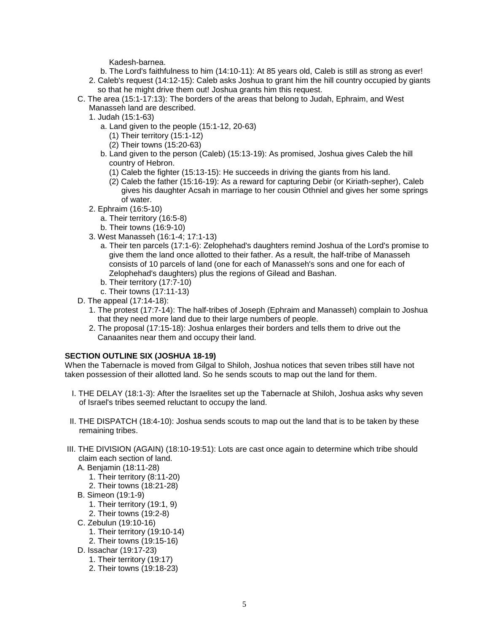Kadesh-barnea.

- b. The Lord's faithfulness to him (14:10-11): At 85 years old, Caleb is still as strong as ever!
- 2. Caleb's request (14:12-15): Caleb asks Joshua to grant him the hill country occupied by giants so that he might drive them out! Joshua grants him this request.
- C. The area (15:1-17:13): The borders of the areas that belong to Judah, Ephraim, and West Manasseh land are described.
	- 1. Judah (15:1-63)
		- a. Land given to the people (15:1-12, 20-63)
			- (1) Their territory (15:1-12)
			- (2) Their towns (15:20-63)
		- b. Land given to the person (Caleb) (15:13-19): As promised, Joshua gives Caleb the hill country of Hebron.
			- (1) Caleb the fighter (15:13-15): He succeeds in driving the giants from his land.
			- (2) Caleb the father (15:16-19): As a reward for capturing Debir (or Kiriath-sepher), Caleb gives his daughter Acsah in marriage to her cousin Othniel and gives her some springs of water.
	- 2. Ephraim (16:5-10)
		- a. Their territory (16:5-8)
		- b. Their towns (16:9-10)
	- 3. West Manasseh (16:1-4; 17:1-13)
		- a. Their ten parcels (17:1-6): Zelophehad's daughters remind Joshua of the Lord's promise to give them the land once allotted to their father. As a result, the half-tribe of Manasseh consists of 10 parcels of land (one for each of Manasseh's sons and one for each of Zelophehad's daughters) plus the regions of Gilead and Bashan.
		- b. Their territory (17:7-10)
		- c. Their towns (17:11-13)
- D. The appeal (17:14-18):
	- 1. The protest (17:7-14): The half-tribes of Joseph (Ephraim and Manasseh) complain to Joshua that they need more land due to their large numbers of people.
	- 2. The proposal (17:15-18): Joshua enlarges their borders and tells them to drive out the Canaanites near them and occupy their land.

#### **SECTION OUTLINE SIX (JOSHUA 18-19)**

When the Tabernacle is moved from Gilgal to Shiloh, Joshua notices that seven tribes still have not taken possession of their allotted land. So he sends scouts to map out the land for them.

- I. THE DELAY (18:1-3): After the Israelites set up the Tabernacle at Shiloh, Joshua asks why seven of Israel's tribes seemed reluctant to occupy the land.
- II. THE DISPATCH (18:4-10): Joshua sends scouts to map out the land that is to be taken by these remaining tribes.
- III. THE DIVISION (AGAIN) (18:10-19:51): Lots are cast once again to determine which tribe should claim each section of land.
	- A. Benjamin (18:11-28) 1. Their territory (8:11-20) 2. Their towns (18:21-28)
	- B. Simeon (19:1-9)
		- 1. Their territory (19:1, 9)
		- 2. Their towns (19:2-8)
	- C. Zebulun (19:10-16)
		- 1. Their territory (19:10-14)
		- 2. Their towns (19:15-16)
	- D. Issachar (19:17-23)
		- 1. Their territory (19:17)
		- 2. Their towns (19:18-23)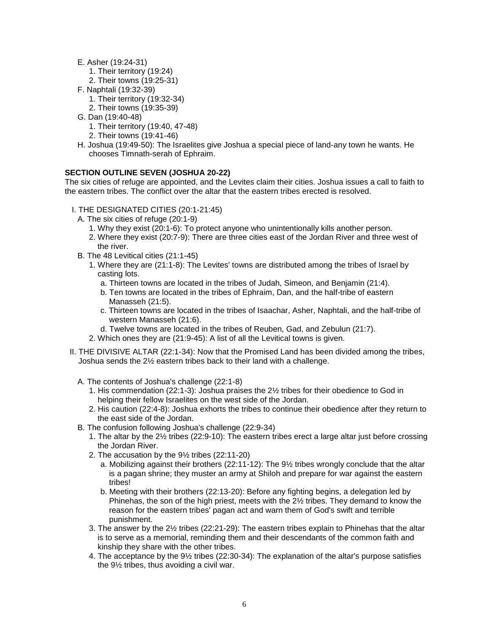- E. Asher (19:24-31)
	- 1. Their territory (19:24)
	- 2. Their towns (19:25-31)
- F. Naphtali (19:32-39)
	- 1. Their territory (19:32-34)
	- 2. Their towns (19:35-39)
- G. Dan (19:40-48)
	- 1. Their territory (19:40, 47-48)
	- 2. Their towns (19:41-46)
- H. Joshua (19:49-50): The Israelites give Joshua a special piece of land-any town he wants. He chooses Timnath-serah of Ephraim.

## **SECTION OUTLINE SEVEN (JOSHUA 20-22)**

The six cities of refuge are appointed, and the Levites claim their cities. Joshua issues a call to faith to the eastern tribes. The conflict over the altar that the eastern tribes erected is resolved.

- I. THE DESIGNATED CITIES (20:1-21:45)
	- A. The six cities of refuge (20:1-9)
		- 1. Why they exist (20:1-6): To protect anyone who unintentionally kills another person.
		- 2. Where they exist (20:7-9): There are three cities east of the Jordan River and three west of the river.
	- B. The 48 Levitical cities (21:1-45)
		- 1. Where they are (21:1-8): The Levites' towns are distributed among the tribes of Israel by casting lots.
			- a. Thirteen towns are located in the tribes of Judah, Simeon, and Benjamin (21:4).
			- b. Ten towns are located in the tribes of Ephraim, Dan, and the half-tribe of eastern Manasseh (21:5).
			- c. Thirteen towns are located in the tribes of Isaachar, Asher, Naphtali, and the half-tribe of western Manasseh (21:6).
			- d. Twelve towns are located in the tribes of Reuben, Gad, and Zebulun (21:7).
		- 2. Which ones they are (21:9-45): A list of all the Levitical towns is given.
- II. THE DIVISIVE ALTAR (22:1-34): Now that the Promised Land has been divided among the tribes, Joshua sends the 2½ eastern tribes back to their land with a challenge.
	- A. The contents of Joshua's challenge (22:1-8)
		- 1. His commendation (22:1-3): Joshua praises the 2½ tribes for their obedience to God in helping their fellow Israelites on the west side of the Jordan.
		- 2. His caution (22:4-8): Joshua exhorts the tribes to continue their obedience after they return to the east side of the Jordan.
	- B. The confusion following Joshua's challenge (22:9-34)
		- 1. The altar by the 2½ tribes (22:9-10): The eastern tribes erect a large altar just before crossing the Jordan River.
		- 2. The accusation by the 9½ tribes (22:11-20)
			- a. Mobilizing against their brothers (22:11-12): The 9½ tribes wrongly conclude that the altar is a pagan shrine; they muster an army at Shiloh and prepare for war against the eastern tribes!
			- b. Meeting with their brothers (22:13-20): Before any fighting begins, a delegation led by Phinehas, the son of the high priest, meets with the  $2\frac{1}{2}$  tribes. They demand to know the reason for the eastern tribes' pagan act and warn them of God's swift and terrible punishment.
		- 3. The answer by the 2½ tribes (22:21-29): The eastern tribes explain to Phinehas that the altar is to serve as a memorial, reminding them and their descendants of the common faith and kinship they share with the other tribes.
		- 4. The acceptance by the 9½ tribes (22:30-34): The explanation of the altar's purpose satisfies the 9½ tribes, thus avoiding a civil war.